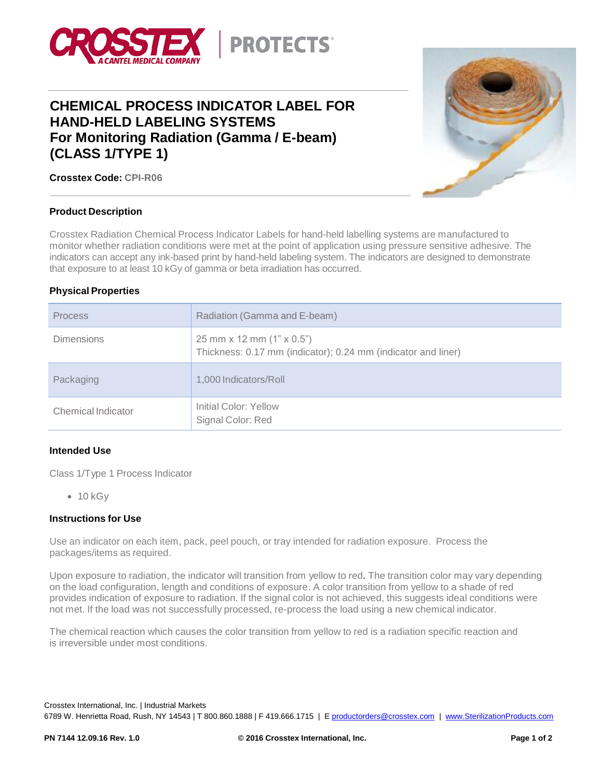

# **CHEMICAL PROCESS INDICATOR LABEL FOR HAND-HELD LABELING SYSTEMS For Monitoring Radiation (Gamma / E-beam) (CLASS 1/TYPE 1)**



**Crosstex Code: CPI-R06**

#### **Product Description**

Crosstex Radiation Chemical Process Indicator Labels for hand-held labelling systems are manufactured to monitor whether radiation conditions were met at the point of application using pressure sensitive adhesive. The indicators can accept any ink-based print by hand-held labeling system. The indicators are designed to demonstrate that exposure to at least 10 kGy of gamma or beta irradiation has occurred.

#### **Physical Properties**

| <b>Process</b>     | Radiation (Gamma and E-beam)                                                                      |
|--------------------|---------------------------------------------------------------------------------------------------|
| <b>Dimensions</b>  | 25 mm x 12 mm $(1" \times 0.5")$<br>Thickness: 0.17 mm (indicator); 0.24 mm (indicator and liner) |
| Packaging          | 1,000 Indicators/Roll                                                                             |
| Chemical Indicator | Initial Color: Yellow<br>Signal Color: Red                                                        |

#### **Intended Use**

Class 1/Type 1 Process Indicator

 $-10$  kGy

#### **Instructions for Use**

Use an indicator on each item, pack, peel pouch, or tray intended for radiation exposure. Process the packages/items as required.

Upon exposure to radiation, the indicator will transition from yellow to red. The transition color may vary depending on the load configuration, length and conditions of exposure. A color transition from yellow to a shade of red provides indication of exposure to radiation. If the signal color is not achieved, this suggests ideal conditions were not met. If the load was not successfully processed, re-process the load using a new chemical indicator.

The chemical reaction which causes the color transition from yellow to red is a radiation specific reaction and is irreversible under most conditions.

Crosstex International, Inc. | Industrial Markets 6789 W. Henrietta Road, Rush, NY 14543 | T 800.860.1888 | F 419.666.1715 | [E productorders@crosstex.com](mailto:productorders@crosstex.com) | [www.SterilizationProducts.com](file:///C:/Users/KVN1304/AppData/Local/Microsoft/Windows/Temporary%20Internet%20Files/Users/jbm1233/AppData/Local/Microsoft/Windows/Temporary%20Internet%20Files/Users/jbm1233/AppData/Local/Microsoft/Documents%20and%20Settings/ajs0776/Local%20Settings/Temporary%20Internet%20Files/Content.Outlook/64XMA2U2/www.SterilizationProducts.com)